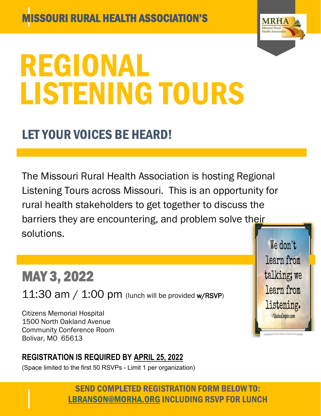

[This Photo](http://quotesempire.com/wisdom/we-learn-from-listening/) By Unknown Author is licensed und[er CC BY-ND](https://creativecommons.org/licenses/by-nd/3.0/)

We don't

learn from

talking; we

learn from

listening.

**Quotes** Empire.com

# REGIONAL LISTENING TOURS

## LET YOUR VOICES BE HEARD!

The Missouri Rural Health Association is hosting Regional Listening Tours across Missouri. This is an opportunity for rural health stakeholders to get together to discuss the barriers they are encountering, and problem solve their solutions.

## MAY 3, 2022

 $11:30$  am /  $1:00$  pm (lunch will be provided w/RSVP)

Citizens Memorial Hospital 1500 North Oakland Avenue Community Conference Room Bolivar, MO 65613

#### **REGISTRATION IS REQUIRED BY APRIL 25, 2022**

(Space limited to the first 50 RSVPs - Limit 1 per organization)

SEND COMPLETED REGISTRATION FORM BELOW TO: LBRANSON@MORHA.ORG INCLUDING RSVP FOR LUNCH